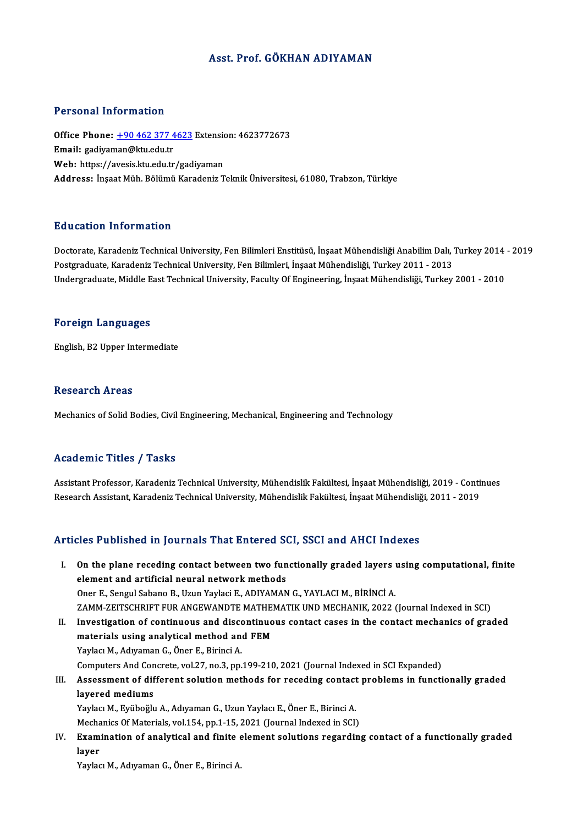# Asst. Prof. GÖKHAN ADIYAMAN

# Personal Information

Personal Information<br>Office Phone: <u>+90 462 377 4623</u> Extension: 4623772673<br>Email: gadiyaman@ku edu tr Processian and cancellation<br>Office Phone: <u>+90 462 377 4</u><br>Email: gadiya[man@ktu.edu.tr](tel:+90 462 377 4623) Office Phone: <u>+90 462 377 4623</u> Extension<br>Email: gadiyaman@ktu.edu.tr<br>Web: https://avesis.ktu.edu.tr/gadiyaman Email: gadiyaman@ktu.edu.tr<br>Web: https://avesis.ktu.edu.tr/gadiyaman<br>Address: İnsaat Müh. Bölümü Karadeniz Teknik Üniversitesi, 61080, Trabzon, Türkiye

### Education Information

**Education Information**<br>Doctorate, Karadeniz Technical University, Fen Bilimleri Enstitüsü, İnşaat Mühendisliği Anabilim Dalı, Turkey 2014 - 2019<br>Postaraduata Karadeniz Technical University, Fen Bilimleri, İnsaat Mühendisl Pu u cucron "III'o" IIIucron"<br>Doctorate, Karadeniz Technical University, Fen Bilimleri Enstitüsü, İnşaat Mühendisliği Anabilim Dalı, '<br>Indergraduate, Middle Fest Technical University, Fen Bilimleri, İnşaat Mühendisliği, Tu Doctorate, Karadeniz Technical University, Fen Bilimleri Enstitüsü, İnşaat Mühendisliği Anabilim Dalı, Turkey 2014<br>Postgraduate, Karadeniz Technical University, Fen Bilimleri, İnşaat Mühendisliği, Turkey 2011 - 2013<br>Underg Undergraduate, Middle East Technical University, Faculty Of Engineering, İnşaat Mühendisliği, Turkey 2001 - 2010<br>Foreign Languages

English,B2Upper Intermediate

#### **Research Areas**

Mechanics of Solid Bodies, Civil Engineering, Mechanical, Engineering and Technology

# Academic Titles / Tasks

Assistant Professor, Karadeniz Technical University, Mühendislik Fakültesi, İnşaat Mühendisliği, 2019 - Continues Research Assistant, Karadeniz Technical University, Mühendislik Fakültesi, İnşaat Mühendisliği, 2011 - 2019

# Articles Published in Journals That Entered SCI, SSCI and AHCI Indexes

- rticles Published in Journals That Entered SCI, SSCI and AHCI Indexes<br>I. On the plane receding contact between two functionally graded layers using computational, finite<br>clament and artificial neural network methods element and artificial neural network methods<br>element and artificial neural network methods<br>Oper E. Sengul Sabane B. Uzun Vaulasi E. ADIVAMAN On the plane receding contact between two functionally graded layers<br>element and artificial neural network methods<br>Oner E., Sengul Sabano B., Uzun Yaylaci E., ADIYAMAN G., YAYLACI M., BİRİNCİ A.<br>ZAMM ZEITSCHRIFT EUR ANCEWA element and artificial neural network methods<br>Oner E., Sengul Sabano B., Uzun Yaylaci E., ADIYAMAN G., YAYLACI M., BİRİNCİ A.<br>ZAMM-ZEITSCHRIFT FUR ANGEWANDTE MATHEMATIK UND MECHANIK, 2022 (Journal Indexed in SCI)
- II. Investigation of continuous and discontinuous contact cases in the contact mechanics of graded ZAMM-ZEITSCHRIFT FUR ANGEWANDTE MATHE<br>Investigation of continuous and discontinuo<br>materials using analytical method and FEM<br>Yaylag M. Adwaman C. Öner E. Biringi A Investigation of continuous and discomaterials using analytical method and<br>Yaylacı M., Adıyaman G., Öner E., Birinci A.<br>Computers And Congrate vol 27 no 2 np. Yaylacı M., Adıyaman G., Öner E., Birinci A.<br>Computers And Concrete, vol.27, no.3, pp.199-210, 2021 (Journal Indexed in SCI Expanded) Yaylacı M., Adıyaman G., Öner E., Birinci A.<br>Computers And Concrete, vol.27, no.3, pp.199-210, 2021 (Journal Indexed in SCI Expanded)<br>III. Assessment of different solution methods for receding contact problems in functiona
- Computers And Con<br>Assessment of dif<br>layered mediums<br><sup>Voulog</sup> M. Evîbeğlu Assessment of different solution methods for receding contact<br>layered mediums<br>Yaylacı M., Eyüboğlu A., Adıyaman G., Uzun Yaylacı E., Öner E., Birinci A.<br>Mechanise Of Meterials vol 154 nn 1 15 2021 (Jayrnal Indoved in SCF) l<mark>ayered mediums</mark><br>Yaylacı M., Eyüboğlu A., Adıyaman G., Uzun Yaylacı E., Öner E., Birinci A.<br>Mechanics Of Materials, vol.154, pp.1-15, 2021 (Journal Indexed in SCI)<br>Evamination of analytisal and finite alemant salytions re

Yaylacı M., Eyüboğlu A., Adıyaman G., Uzun Yaylacı E., Öner E., Birinci A.<br>Mechanics Of Materials, vol.154, pp.1-15, 2021 (Journal Indexed in SCI)<br>IV. Examination of analytical and finite element solutions regarding contac Mecha<br><mark>Exam</mark><br>layer<br><sup>Vouloo</sup>

Yaylacı M., Adıyaman G., Öner E., Birinci A.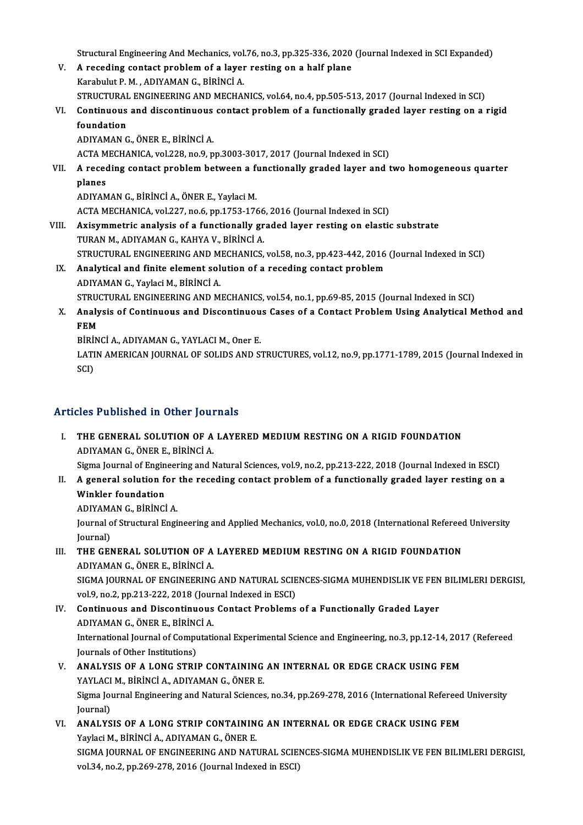Structural Engineering And Mechanics, vol.76, no.3, pp.325-336, 2020 (Journal Indexed in SCI Expanded)<br>A reseding contast problem of a laver resting op a balf plane.

- Structural Engineering And Mechanics, vol.76, no.3, pp.325-336, 2020<br>V. A receding contact problem of a layer resting on a half plane<br>Karabulut B.M. ADIVAMAN C. BiBiNCi A Structural Engineering And Mechanics, vol.<br>A receding contact problem of a layer<br>Karabulut P. M., ADIYAMAN G., BİRİNCİ A.<br>STRUCTURAL ENGINEERINC AND MECHAL A receding contact problem of a layer resting on a half plane<br>Karabulut P. M. , ADIYAMAN G., BİRİNCİ A.<br>STRUCTURAL ENGINEERING AND MECHANICS, vol.64, no.4, pp.505-513, 2017 (Journal Indexed in SCI)<br>Continuous and discontin Karabulut P. M., ADIYAMAN G., BİRİNCİ A.<br>STRUCTURAL ENGINEERING AND MECHANICS, vol.64, no.4, pp.505-513, 2017 (Journal Indexed in SCI)<br>VI. Continuous and discontinuous contact problem of a functionally graded layer res
- STRUCTURAL<br>Continuous<br>foundation Continuous and discontinuous<br>foundation<br>ADIYAMAN G., ÖNER E., BİRİNCİ A.<br>ACTA MECHANICA. vol 228. no 8. n

foundation<br>ADIYAMAN G., ÖNER E., BİRİNCİ A.<br>ACTA MECHANICA, vol.228, no.9, pp.3003-3017, 2017 (Journal Indexed in SCI)<br>A reseding sentast preblem between a functionally graded laver and t ADIYAMAN G., ÖNER E., BİRİNCİ A.<br>ACTA MECHANICA, vol.228, no.9, pp.3003-3017, 2017 (Journal Indexed in SCI)<br>VII. A receding contact problem between a functionally graded layer and two homogeneous quarter<br>planes

# **ACTA M<br>A reced<br>planes** A receding contact problem between a fi<br>planes<br>ADIYAMAN G., BİRİNCİ A., ÖNER E., Yaylaci M.<br>ACTA MECHANICA xol 227 no 6 nn 1752 176

planes<br>ADIYAMAN G., BİRİNCİ A., ÖNER E., Yaylaci M.<br>ACTA MECHANICA, vol.227, no.6, pp.1753-1766, 2016 (Journal Indexed in SCI)

- ADIYAMAN G., BİRİNCİ A., ÖNER E., Yaylaci M.<br>ACTA MECHANICA, vol.227, no.6, pp.1753-1766, 2016 (Journal Indexed in SCI)<br>VIII. Axisymmetric analysis of a functionally graded layer resting on elastic substrate<br>TUBAN M. ADIYA ACTA MECHANICA, vol.227, no.6, pp.1753-1766<br>Axisymmetric analysis of a functionally gr<br>TURAN M., ADIYAMAN G., KAHYA V., BİRİNCİ A.<br>STRUCTURAL ENCINEERINC AND MECHANICS Axisymmetric analysis of a functionally graded layer resting on elastic substrate<br>TURAN M., ADIYAMAN G., KAHYA V., BİRİNCİ A.<br>STRUCTURAL ENGINEERING AND MECHANICS, vol.58, no.3, pp.423-442, 2016 (Journal Indexed in SCI)<br>An TURAN M., ADIYAMAN G., KAHYA V., BİRİNCİ A.<br>STRUCTURAL ENGINEERING AND MECHANICS, vol.58, no.3, pp.423-442, 2016<br>IX. Analytical and finite element solution of a receding contact problem
- STRUCTURAL ENGINEERING AND M.<br>Analytical and finite element sol<br>ADIYAMAN G., Yaylaci M., BİRİNCİ A.<br>STRUCTURAL ENGINEERINC AND M. IX. Analytical and finite element solution of a receding contact problem<br>ADIYAMAN G., Yaylaci M., BİRİNCİ A.<br>STRUCTURAL ENGINEERING AND MECHANICS, vol.54, no.1, pp.69-85, 2015 (Journal Indexed in SCI)
- ADIYAMAN G., Yaylaci M., BİRİNCİ A.<br>STRUCTURAL ENGINEERING AND MECHANICS, vol.54, no.1, pp.69-85, 2015 (Journal Indexed in SCI)<br>X. Analysis of Continuous and Discontinuous Cases of a Contact Problem Using Analytical Me STRUC<br>Analy<br>FEM<br>Pinin Analysis of Continuous and Discontinuou<br>FEM<br>BİRİNCİ A., ADIYAMAN G., YAYLACI M., Oner E.<br>LATIN AMERICAN IQUENAL OE SOLIDS AND S'

FEM<br>BİRİNCİ A., ADIYAMAN G., YAYLACI M., Oner E.<br>LATIN AMERICAN JOURNAL OF SOLIDS AND STRUCTURES, vol.12, no.9, pp.1771-1789, 2015 (Journal Indexed in SC<sub>I</sub>

# Articles Published in Other Journals

- rticles Published in Other Journals<br>I. THE GENERAL SOLUTION OF A LAYERED MEDIUM RESTING ON A RIGID FOUNDATION THE GENERAL SOLUTION OF A<br>ADIYAMAN G., ÖNER E., BİRİNCİ A.<br>Sizma Jaurnal of Engineering and N THE GENERAL SOLUTION OF A LAYERED MEDIUM RESTING ON A RIGID FOUNDATION<br>ADIYAMAN G., ÖNER E., BİRİNCİ A.<br>Sigma Journal of Engineering and Natural Sciences, vol.9, no.2, pp.213-222, 2018 (Journal Indexed in ESCI)<br>A general s ADIYAMAN G., ÖNER E., BİRİNCİ A.<br>Sigma Journal of Engineering and Natural Sciences, vol.9, no.2, pp.213-222, 2018 (Journal Indexed in ESCI)<br>II. A general solution for the receding contact problem of a functionally graded l
- Sigma Journal of Engin<br>A general solution f<br>Winkler foundation<br>ADIYAMAN C. P<sup>ipinci</sup> II. A general solution for the receding contact problem of a functionally graded layer resting on a Winkler foundation

ADIYAMAN G., BİRİNCİ A.

Journal of Structural Engineering and Applied Mechanics, vol.0, no.0, 2018 (International Refereed University<br>Iournal) Journal of Structural Engineering and Applied Mechanics, vol.0, no.0, 2018 (International Refereed<br>Journal)<br>III. THE GENERAL SOLUTION OF A LAYERED MEDIUM RESTING ON A RIGID FOUNDATION<br>ADIVAMAN G ÖNERE REPRINGIA

# Journal)<br>THE GENERAL SOLUTION OF A<br>ADIYAMAN G., ÖNER E., BİRİNCİ A.<br>SICMA JOURNAL OE ENCINEERINC THE GENERAL SOLUTION OF A LAYERED MEDIUM RESTING ON A RIGID FOUNDATION<br>ADIYAMAN G., ÖNER E., BİRİNCİ A.<br>SIGMA JOURNAL OF ENGINEERING AND NATURAL SCIENCES-SIGMA MUHENDISLIK VE FEN BILIMLERI DERGISI,<br>vol9 no 2 nn 212 222 201

ADIYAMAN G., ÖNER E., BİRİNCİ A.<br>SIGMA JOURNAL OF ENGINEERING AND NATURAL SCIENCES-SIGMA MUHENDISLIK VE FEN BILIMLERI DERGISI,<br>vol.9, no.2, pp.213-222, 2018 (Journal Indexed in ESCI) SIGMA JOURNAL OF ENGINEERING AND NATURAL SCIENCES-SIGMA MUHENDISLIK VE FEN<br>vol.9, no.2, pp.213-222, 2018 (Journal Indexed in ESCI)<br>IV. Continuous and Discontinuous Contact Problems of a Functionally Graded Layer

- vol.9, no.2, pp.213-222, 2018 (Journ<br>**Continuous and Discontinuous**<br>ADIYAMAN G., ÖNER E., BİRİNCİ A. Continuous and Discontinuous Contact Problems of a Functionally Graded Layer<br>ADIYAMAN G., ÖNER E., BİRİNCİ A.<br>International Journal of Computational Experimental Science and Engineering, no.3, pp.12-14, 2017 (Refereed<br>Jour ADIYAMAN G., ÖNER E., BİRİNCİ A.<br>International Journal of Computational Experimental Science and Engineering, no.3, pp.12-14, 20<br>Journals of Other Institutions)<br>V. ANALYSIS OF A LONG STRIP CONTAINING AN INTERNAL OR EDG International Journal of Computational Experimental Science and Engineering, no.3, pp.12-14, 201<br>Journals of Other Institutions)<br>V. ANALYSIS OF A LONG STRIP CONTAINING AN INTERNAL OR EDGE CRACK USING FEM<br>VAVI ACLM PIPINCLA
- Journals of Other Institutions)<br>ANALYSIS OF A LONG STRIP CONTAINING<br>YAYLACI M., BİRİNCİ A., ADIYAMAN G., ÖNER E.<br>Sigma Journal Engineering and Natural Sciences Sigma Journal Engineering and Natural Sciences, no.34, pp.269-278, 2016 (International Refereed University Journal) YAYLACI<br>Sigma Journal)<br>Journal) Sigma Journal Engineering and Natural Sciences, no.34, pp.269-278, 2016 (International Refereed<br>Journal)<br>VI. ANALYSIS OF A LONG STRIP CONTAINING AN INTERNAL OR EDGE CRACK USING FEM<br>Varies M. Pipingi A. ADIYAMAN C. ÖNER E
- Journal)<br><mark>ANALYSIS OF A LONG STRIP CONTAININ</mark><br>Yaylaci M., BİRİNCİ A., ADIYAMAN G., ÖNER E.<br>SICMA JOURNAL OF ENCINEERING AND NATI ANALYSIS OF A LONG STRIP CONTAINING AN INTERNAL OR EDGE CRACK USING FEM<br>Yaylaci M., BİRİNCİ A., ADIYAMAN G., ÖNER E.<br>SIGMA JOURNAL OF ENGINEERING AND NATURAL SCIENCES-SIGMA MUHENDISLIK VE FEN BILIMLERI DERGISI,<br>110<sup>1 24</sup>. Yaylaci M., BİRİNCİ A., ADIYAMAN G., ÖNER E.<br>SIGMA JOURNAL OF ENGINEERING AND NATURAL SCIEI<br>vol.34, no.2, pp.269-278, 2016 (Journal Indexed in ESCI)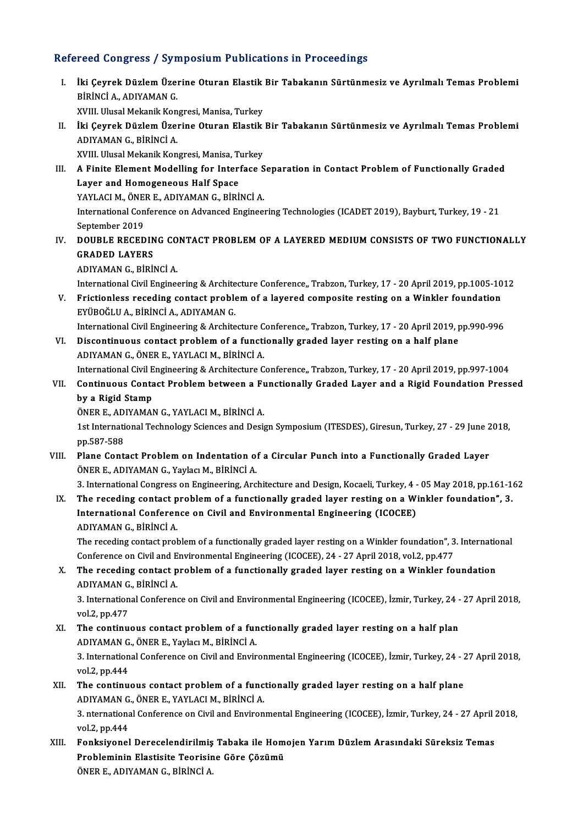# Refereed Congress / Symposium Publications in Proceedings

- efereed Congress / Symposium Publications in Proceedings<br>I. İki Çeyrek Düzlem Üzerine Oturan Elastik Bir Tabakanın Sürtünmesiz ve Ayrılmalı Temas Problemi<br>Ripinci A. ADIYAMAN C 1994 Göngi 9997<br>İki Çeyrek Düzlem Üzer<br>BİRİNCİ A., ADIYAMAN G.<br>YVIII Husel Mekanik Kan BİRİNCİ A., ADIYAMAN G.<br>XVIII. Ulusal Mekanik Kongresi, Manisa, Turkey
- BİRİNCİ A., ADIYAMAN G.<br>XVIII. Ulusal Mekanik Kongresi, Manisa, Turkey<br>II. İki Çeyrek Düzlem Üzerine Oturan Elastik Bir Tabakanın Sürtünmesiz ve Ayrılmalı Temas Problemi<br>ADIYAMAN G. BİRİNCİ A XVIII. Ulusal Mekanik Kon<br><mark>İki Çeyrek Düzlem Üze</mark>ı<br>ADIYAMAN G., BİRİNCİ A.<br>YVIII. Illusal Mekanik Kon İki Çeyrek Düzlem Üzerine Oturan Elastik<br>ADIYAMAN G., BİRİNCİ A.<br>XVIII. Ulusal Mekanik Kongresi, Manisa, Turkey<br>A. Einite Element Medelling fon Interface S

- ADIYAMAN G., BİRİNCİ A.<br>II. Ulusal Mekanik Kongresi, Manisa, Turkey<br>III. A Finite Element Modelling for Interface Separation in Contact Problem of Functionally Graded XVIII. Ulusal Mekanik Kongresi, Manisa, T<br>A Finite Element Modelling for Interi<br>Layer and Homogeneous Half Space<br>YAYLACLM, ÖNER E. ADIYAMAN C. BiRİ A Finite Element Modelling for Interface S<br>Layer and Homogeneous Half Space<br>YAYLACI M., ÖNER E., ADIYAMAN G., BİRİNCİ A.<br>International Conference en Advanced Engineer Layer and Homogeneous Half Space<br>YAYLACI M., ÖNER E., ADIYAMAN G., BİRİNCİ A.<br>International Conference on Advanced Engineering Technologies (ICADET 2019), Bayburt, Turkey, 19 - 21<br>September 2019 YAYLACI M., ÖNER E., ADIYAMAN G., BİRİNCİ A. International Conference on Advanced Engineering Technologies (ICADET 2019), Bayburt, Turkey, 19 - 21<br>September 2019<br>IV. DOUBLE RECEDING CONTACT PROBLEM OF A LAYERED MEDIUM CONSISTS OF TWO FUNCTIONALLY<br>CRADED LAYERS
- September 2019<br>DOUBLE RECEDIN<br>GRADED LAYERS<br>ADIYAMAN C. BiBit DOUBLE RECEDING CO<br>GRADED LAYERS<br>ADIYAMAN G., BİRİNCİ A.<br>International Civil Engines GRADED LAYERS<br>ADIYAMAN G., BİRİNCİ A.<br>International Civil Engineering & Architecture Conference,, Trabzon, Turkey, 17 - 20 April 2019, pp.1005-1012

ADIYAMAN G., BIRINCI A.<br>International Civil Engineering & Architecture Conference,, Trabzon, Turkey, 17 - 20 April 2019, pp.1005-10<br>V. Frictionless receding contact problem of a layered composite resting on a Winkler f International Civil Engineering & Archite<br>Frictionless receding contact proble<br>EYÜBOĞLU A., BİRİNCİ A., ADIYAMAN G.<br>International Civil Engineering & Archite Frictionless receding contact problem of a layered composite resting on a Winkler foundation<br>EYÜBOĞLU A., BİRİNCİ A., ADIYAMAN G.<br>International Civil Engineering & Architecture Conference,, Trabzon, Turkey, 17 - 20 April 2

- EYÜBOĞLU A., BİRİNCİ A., ADIYAMAN G.<br>International Civil Engineering & Architecture Conference,, Trabzon, Turkey, 17 20 April 2019, p<br>VI. Discontinuous contact problem of a functionally graded layer resting on a half pla International Civil Engineering & Architecture C<br>Discontinuous contact problem of a functi<br>ADIYAMAN G., ÖNER E., YAYLACI M., BİRİNCİ A.<br>International Civil Engineering & Architecture C Discontinuous contact problem of a functionally graded layer resting on a half plane<br>ADIYAMAN G., ÖNER E., YAYLACI M., BİRİNCİ A.<br>International Civil Engineering & Architecture Conference,, Trabzon, Turkey, 17 - 20 April 2
- ADIYAMAN G., ÖNER E., YAYLACI M., BİRİNCİ A.<br>International Civil Engineering & Architecture Conference,, Trabzon, Turkey, 17 20 April 2019, pp.997-1004<br>VII. Continuous Contact Problem between a Functionally Graded La International Civil E<br>Continuous Conta<br>by a Rigid Stamp<br>ÖNER E ADIYAMAN Continuous Contact Problem between a Fu<br>by a Rigid Stamp<br>ÖNER E., ADIYAMAN G., YAYLACI M., BİRİNCİ A.<br>1st International Technology Sciences and Desi

1st International Technology Sciences and Design Symposium (ITESDES), Giresun, Turkey, 27 - 29 June 2018, pp.587-588 ÖNER E., AD<br>1st Internati<br>pp.587-588<br>Blane Cent 1st International Technology Sciences and Design Symposium (ITESDES), Giresun, Turkey, 27 - 29 June 2<br>pp.587-588<br>VIII. Plane Contact Problem on Indentation of a Circular Punch into a Functionally Graded Layer<br>ÖNER E ADIVAM

pp.587-588<br>Plane Contact Problem on Indentation of<br>ÖNER E., ADIYAMAN G., Yaylacı M., BİRİNCİ A.<br>2. International Congress on Engineering Are 3. Plane Contact Problem on Indentation of a Circular Punch into a Functionally Graded Layer<br>ÖNER E., ADIYAMAN G., Yaylacı M., BİRİNCİ A.<br>3. International Congress on Engineering, Architecture and Design, Kocaeli, Turkey, ÖNER E., ADIYAMAN G., Yaylacı M., BİRİNCİ A.<br>3. International Congress on Engineering, Architecture and Design, Kocaeli, Turkey, 4 - 05 May 2018, pp.161-16<br>13. The receding contact problem of a functionally graded layer re

3. International Congress on Engineering, Architecture and Design, Kocaeli, Turkey, 4 -<br>The receding contact problem of a functionally graded layer resting on a Wi<br>International Conference on Civil and Environmental Engine International Conference on Civil and Environmental Engineering (ICOCEE)<br>ADIYAMAN G., BİRİNCİ A. International Conference on Civil and Environmental Engineering (ICOCEE)<br>ADIYAMAN G., BIRINCI A.<br>The receding contact problem of a functionally graded layer resting on a Winkler foundation", 3. International<br>Conference on

ADIYAMAN G., BİRİNCİ A.<br>The receding contact problem of a functionally graded layer resting on a Winkler foundation", 3<br>Conference on Civil and Environmental Engineering (ICOCEE), 24 - 27 April 2018, vol.2, pp.477<br>The rece Conference on Civil and Environmental Engineering (ICOCEE), 24 - 27 April 2018, vol.2, pp.477

X. The receding contact problem of a functionally graded layer resting on a Winkler foundation ADIYAMAN G., BİRİNCİ A.

3. International Conference on Civil and Environmental Engineering (ICOCEE), İzmir, Turkey, 24 - 27 April 2018,<br>vol.2, pp.477 3. International Conference on Civil and Environmental Engineering (ICOCEE), İzmir, Turkey, 24 -<br>vol.2, pp.477<br>XI. The continuous contact problem of a functionally graded layer resting on a half plan

vol.2, pp.477<br>The continuous contact problem of a fur<br>ADIYAMAN G., ÖNER E., Yaylacı M., BİRİNCİ A.<br>2. International Conference en Giril and Envir ADIYAMAN G., ÖNER E., Yaylacı M., BİRİNCİ A.

3. International Conference on Civil and Environmental Engineering (ICOCEE), İzmir, Turkey, 24 - 27 April 2018,<br>vol.2. pp.444

XII. The continuous contact problem of a functionally graded layer resting on a half plane ADIYAMANG.,ÖNERE.,YAYLACIM.,BİRİNCİA. The continuous contact problem of a functionally graded layer resting on a half plane<br>ADIYAMAN G., ÖNER E., YAYLACI M., BİRİNCİ A.<br>3. nternational Conference on Civil and Environmental Engineering (ICOCEE), İzmir, Turkey, ADIYAMAN G<br>3. nternationa<br>vol.2, pp.444<br>Eonksivonal

3. nternational Conference on Civil and Environmental Engineering (ICOCEE), İzmir, Turkey, 24 - 27 April :<br>vol.2, pp.444<br>XIII. Fonksiyonel Derecelendirilmiş Tabaka ile Homojen Yarım Düzlem Arasındaki Süreksiz Temas<br>Problem vol.2, pp.444<br>Fonksiyonel Derecelendirilmiş Tabaka ile Hom<br>Probleminin Elastisite Teorisine Göre Çözümü<br>ÖNEP E. ADIVAMAN C. RİRİNÇİ A Fonksiyonel Derecelendirilmiş<br>Probleminin Elastisite Teorisin<br>ÖNER E., ADIYAMAN G., BİRİNCİ A.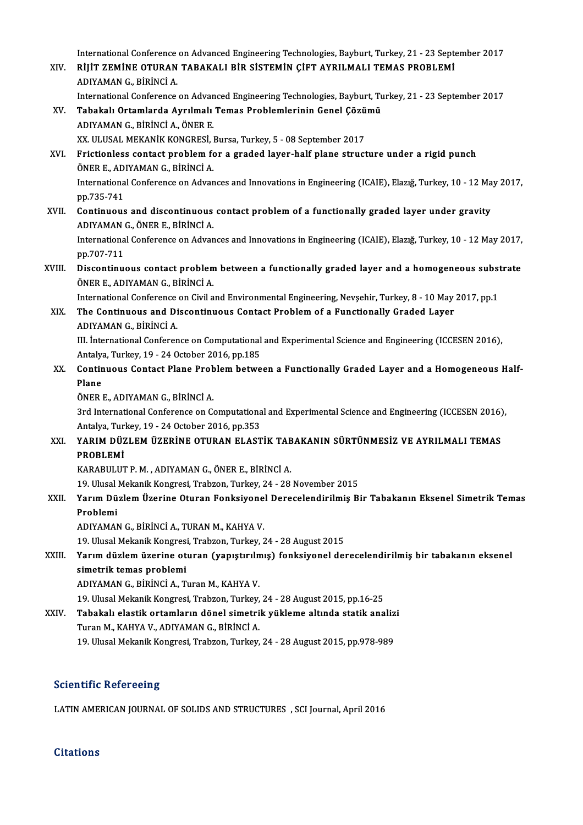International Conference on Advanced Engineering Technologies, Bayburt, Turkey, 21 - 23 September 2017<br>PHIT ZEMINE OTURAN TARAKALL RIR SISTEMIN CIET AVRU MALLTEMAS PROBLEMI

|        | International Conference on Advanced Engineering Technologies, Bayburt, Turkey, 21 - 23 September 2017                        |
|--------|-------------------------------------------------------------------------------------------------------------------------------|
| XIV.   | RIJIT ZEMINE OTURAN TABAKALI BIR SISTEMIN ÇIFT AYRILMALI TEMAS PROBLEMI<br>ADIYAMAN G., BİRİNCİ A.                            |
|        | International Conference on Advanced Engineering Technologies, Bayburt, Turkey, 21 - 23 September 2017                        |
| XV.    | Tabakalı Ortamlarda Ayrılmalı Temas Problemlerinin Genel Çözümü                                                               |
|        | ADIYAMAN G., BİRİNCİ A., ÖNER E.                                                                                              |
|        | XX. ULUSAL MEKANIK KONGRESI, Bursa, Turkey, 5 - 08 September 2017                                                             |
| XVI.   | Frictionless contact problem for a graded layer-half plane structure under a rigid punch<br>ÖNER E., ADIYAMAN G., BİRİNCİ A.  |
|        | International Conference on Advances and Innovations in Engineering (ICAIE), Elazığ, Turkey, 10 - 12 May 2017,<br>pp 735-741  |
| XVII.  | Continuous and discontinuous contact problem of a functionally graded layer under gravity<br>ADIYAMAN G., ÖNER E., BİRİNCİ A. |
|        | International Conference on Advances and Innovations in Engineering (ICAIE), Elazığ, Turkey, 10 - 12 May 2017,                |
|        | pp 707-711                                                                                                                    |
| XVIII. | Discontinuous contact problem between a functionally graded layer and a homogeneous substrate                                 |
|        | ÖNER E., ADIYAMAN G., BİRİNCİ A.                                                                                              |
|        | International Conference on Civil and Environmental Engineering, Nevșehir, Turkey, 8 - 10 May 2017, pp.1                      |
| XIX.   | The Continuous and Discontinuous Contact Problem of a Functionally Graded Layer                                               |
|        | ADIYAMAN G., BİRİNCİ A.                                                                                                       |
|        | III. International Conference on Computational and Experimental Science and Engineering (ICCESEN 2016),                       |
|        | Antalya, Turkey, 19 - 24 October 2016, pp.185                                                                                 |
| XX.    | Continuous Contact Plane Problem between a Functionally Graded Layer and a Homogeneous Half-                                  |
|        | Plane                                                                                                                         |
|        | ÖNER E., ADIYAMAN G., BİRİNCİ A.                                                                                              |
|        | 3rd International Conference on Computational and Experimental Science and Engineering (ICCESEN 2016),                        |
|        | Antalya, Turkey, 19 - 24 October 2016, pp.353                                                                                 |
| XXI.   | YARIM DÜZLEM ÜZERİNE OTURAN ELASTİK TABAKANIN SÜRTÜNMESİZ VE AYRILMALI TEMAS                                                  |
|        | <b>PROBLEMİ</b>                                                                                                               |
|        | KARABULUT P. M., ADIYAMAN G., ÖNER E., BİRİNCİ A.                                                                             |
|        | 19. Ulusal Mekanik Kongresi, Trabzon, Turkey, 24 - 28 November 2015                                                           |
| XXII.  | Yarım Düzlem Üzerine Oturan Fonksiyonel Derecelendirilmiş Bir Tabakanın Eksenel Simetrik Temas                                |
|        | Problemi                                                                                                                      |
|        | ADIYAMAN G., BİRİNCİ A., TURAN M., KAHYA V.                                                                                   |
|        | 19. Ulusal Mekanik Kongresi, Trabzon, Turkey, 24 - 28 August 2015                                                             |
| XXIII. | Yarım düzlem üzerine oturan (yapıştırılmış) fonksiyonel derecelendirilmiş bir tabakanın eksenel                               |
|        | simetrik temas problemi                                                                                                       |
|        | ADIYAMAN G., BİRİNCİ A., Turan M., KAHYA V.                                                                                   |
|        | 19. Ulusal Mekanik Kongresi, Trabzon, Turkey, 24 - 28 August 2015, pp.16-25                                                   |
| XXIV.  | Tabakalı elastik ortamların dönel simetrik yükleme altında statik analizi                                                     |
|        | Turan M., KAHYA V., ADIYAMAN G., BİRİNCİ A.                                                                                   |
|        | 19. Ulusal Mekanik Kongresi, Trabzon, Turkey, 24 - 28 August 2015, pp.978-989                                                 |
|        |                                                                                                                               |

# **Scientific Refereeing**

LATIN AMERICAN JOURNAL OF SOLIDS AND STRUCTURES , SCI Journal, April 2016

# **Citations**